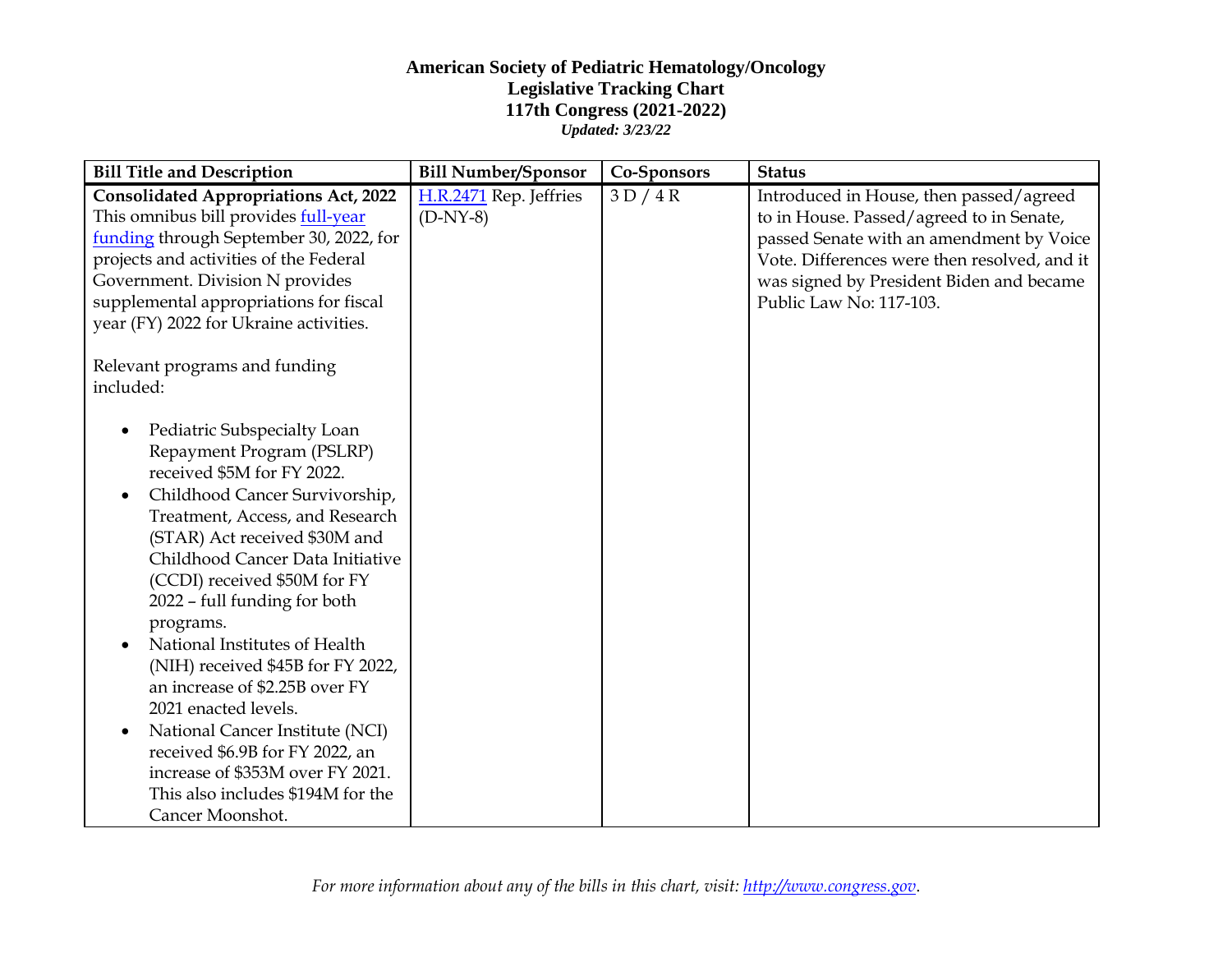## **American Society of Pediatric Hematology/Oncology Legislative Tracking Chart 117th Congress (2021-2022)** *Updated: 3/23/22*

| <b>Bill Title and Description</b>                                                                                                                                                                                                                                                                                                                                                                                                                                                                                                                                                                                             | <b>Bill Number/Sponsor</b>           | Co-Sponsors | <b>Status</b>                                                                                                                                                                                                                                          |
|-------------------------------------------------------------------------------------------------------------------------------------------------------------------------------------------------------------------------------------------------------------------------------------------------------------------------------------------------------------------------------------------------------------------------------------------------------------------------------------------------------------------------------------------------------------------------------------------------------------------------------|--------------------------------------|-------------|--------------------------------------------------------------------------------------------------------------------------------------------------------------------------------------------------------------------------------------------------------|
| <b>Consolidated Appropriations Act, 2022</b><br>This omnibus bill provides full-year<br>funding through September 30, 2022, for<br>projects and activities of the Federal<br>Government. Division N provides<br>supplemental appropriations for fiscal<br>year (FY) 2022 for Ukraine activities.                                                                                                                                                                                                                                                                                                                              | H.R.2471 Rep. Jeffries<br>$(D-NY-8)$ | 3D/4R       | Introduced in House, then passed/agreed<br>to in House. Passed/agreed to in Senate,<br>passed Senate with an amendment by Voice<br>Vote. Differences were then resolved, and it<br>was signed by President Biden and became<br>Public Law No: 117-103. |
| Relevant programs and funding<br>included:                                                                                                                                                                                                                                                                                                                                                                                                                                                                                                                                                                                    |                                      |             |                                                                                                                                                                                                                                                        |
| Pediatric Subspecialty Loan<br>Repayment Program (PSLRP)<br>received \$5M for FY 2022.<br>Childhood Cancer Survivorship,<br>$\bullet$<br>Treatment, Access, and Research<br>(STAR) Act received \$30M and<br>Childhood Cancer Data Initiative<br>(CCDI) received \$50M for FY<br>2022 - full funding for both<br>programs.<br>National Institutes of Health<br>(NIH) received \$45B for FY 2022,<br>an increase of \$2.25B over FY<br>2021 enacted levels.<br>National Cancer Institute (NCI)<br>received \$6.9B for FY 2022, an<br>increase of \$353M over FY 2021.<br>This also includes \$194M for the<br>Cancer Moonshot. |                                      |             |                                                                                                                                                                                                                                                        |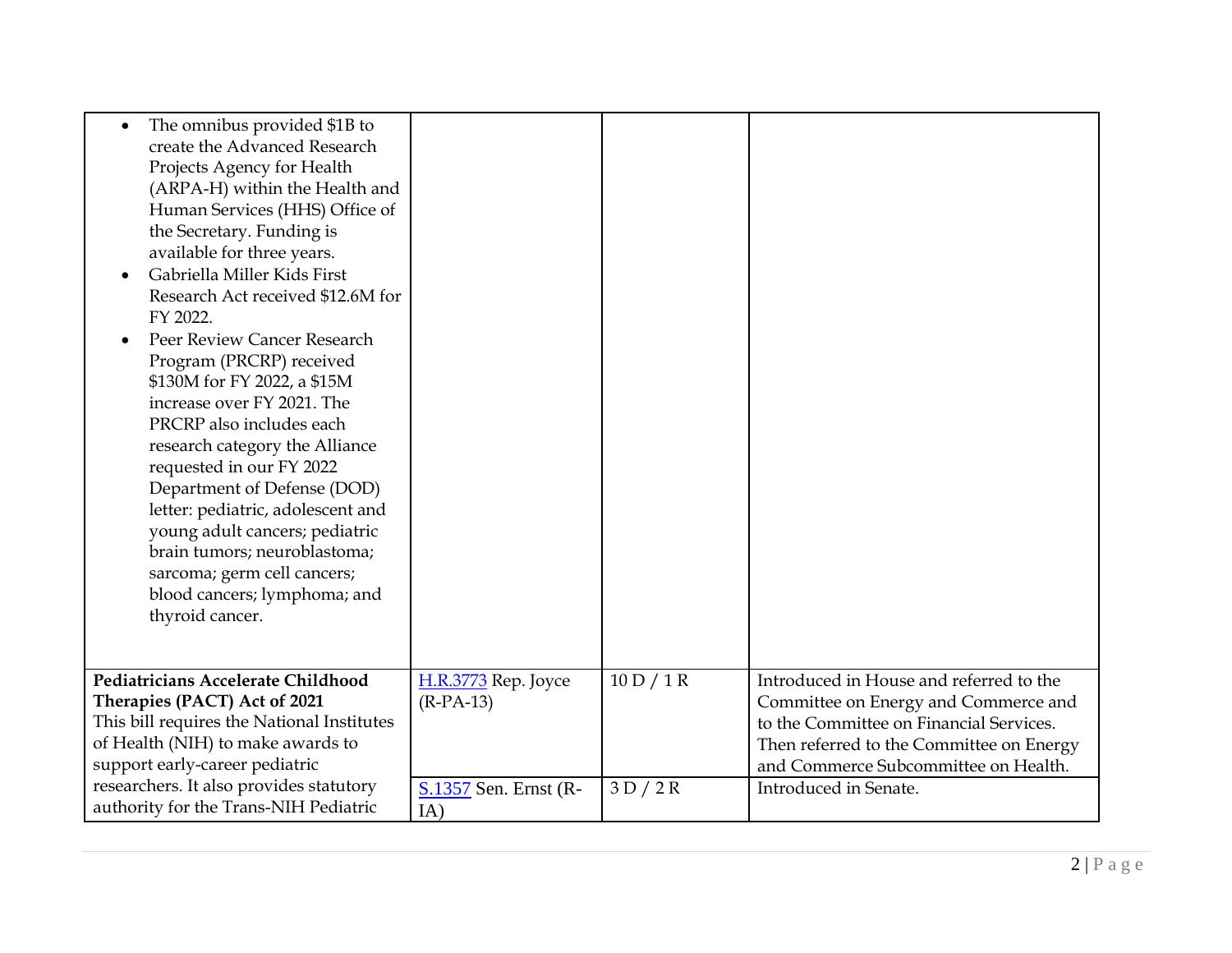| The omnibus provided \$1B to<br>create the Advanced Research<br>Projects Agency for Health<br>(ARPA-H) within the Health and<br>Human Services (HHS) Office of<br>the Secretary. Funding is<br>available for three years.<br>Gabriella Miller Kids First<br>Research Act received \$12.6M for<br>FY 2022.<br>Peer Review Cancer Research<br>Program (PRCRP) received<br>\$130M for FY 2022, a \$15M<br>increase over FY 2021. The<br>PRCRP also includes each<br>research category the Alliance<br>requested in our FY 2022<br>Department of Defense (DOD)<br>letter: pediatric, adolescent and<br>young adult cancers; pediatric<br>brain tumors; neuroblastoma;<br>sarcoma; germ cell cancers;<br>blood cancers; lymphoma; and<br>thyroid cancer. |                                    |            |                                                                                                                                                                                                                |
|-----------------------------------------------------------------------------------------------------------------------------------------------------------------------------------------------------------------------------------------------------------------------------------------------------------------------------------------------------------------------------------------------------------------------------------------------------------------------------------------------------------------------------------------------------------------------------------------------------------------------------------------------------------------------------------------------------------------------------------------------------|------------------------------------|------------|----------------------------------------------------------------------------------------------------------------------------------------------------------------------------------------------------------------|
| Pediatricians Accelerate Childhood<br>Therapies (PACT) Act of 2021<br>This bill requires the National Institutes<br>of Health (NIH) to make awards to<br>support early-career pediatric                                                                                                                                                                                                                                                                                                                                                                                                                                                                                                                                                             | H.R.3773 Rep. Joyce<br>$(R-PA-13)$ | 10 D / 1 R | Introduced in House and referred to the<br>Committee on Energy and Commerce and<br>to the Committee on Financial Services.<br>Then referred to the Committee on Energy<br>and Commerce Subcommittee on Health. |
| researchers. It also provides statutory<br>authority for the Trans-NIH Pediatric                                                                                                                                                                                                                                                                                                                                                                                                                                                                                                                                                                                                                                                                    | S.1357 Sen. Ernst (R-<br>IA)       | 3D/2R      | Introduced in Senate.                                                                                                                                                                                          |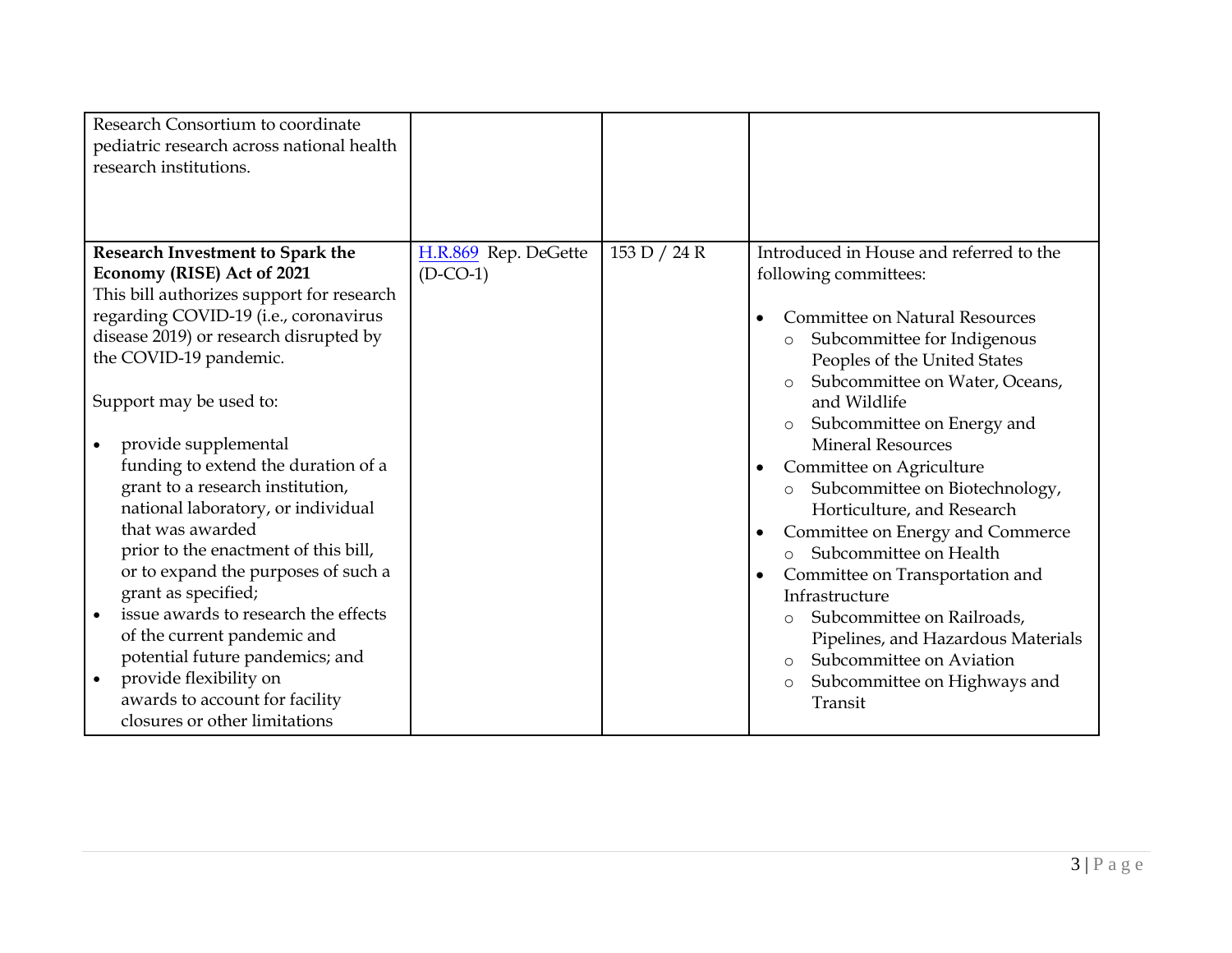| Research Consortium to coordinate<br>pediatric research across national health<br>research institutions. |                      |              |                                                                   |
|----------------------------------------------------------------------------------------------------------|----------------------|--------------|-------------------------------------------------------------------|
| Research Investment to Spark the                                                                         | H.R.869 Rep. DeGette | 153 D / 24 R | Introduced in House and referred to the                           |
| Economy (RISE) Act of 2021                                                                               | $(D$ -CO-1)          |              | following committees:                                             |
| This bill authorizes support for research                                                                |                      |              |                                                                   |
| regarding COVID-19 (i.e., coronavirus                                                                    |                      |              | Committee on Natural Resources<br>$\bullet$                       |
| disease 2019) or research disrupted by                                                                   |                      |              | Subcommittee for Indigenous<br>$\circ$                            |
| the COVID-19 pandemic.                                                                                   |                      |              | Peoples of the United States                                      |
| Support may be used to:                                                                                  |                      |              | Subcommittee on Water, Oceans,<br>$\circ$<br>and Wildlife         |
|                                                                                                          |                      |              |                                                                   |
| provide supplemental                                                                                     |                      |              | Subcommittee on Energy and<br>$\circ$<br><b>Mineral Resources</b> |
| funding to extend the duration of a                                                                      |                      |              | Committee on Agriculture<br>$\bullet$                             |
| grant to a research institution,                                                                         |                      |              | Subcommittee on Biotechnology,<br>$\circ$                         |
| national laboratory, or individual                                                                       |                      |              | Horticulture, and Research                                        |
| that was awarded                                                                                         |                      |              | Committee on Energy and Commerce<br>$\bullet$                     |
| prior to the enactment of this bill,                                                                     |                      |              | Subcommittee on Health<br>$\circ$                                 |
| or to expand the purposes of such a                                                                      |                      |              | Committee on Transportation and<br>$\bullet$                      |
| grant as specified;                                                                                      |                      |              | Infrastructure                                                    |
| issue awards to research the effects                                                                     |                      |              | Subcommittee on Railroads,<br>$\circ$                             |
| of the current pandemic and                                                                              |                      |              | Pipelines, and Hazardous Materials                                |
| potential future pandemics; and                                                                          |                      |              | Subcommittee on Aviation<br>$\circ$                               |
| provide flexibility on<br>$\bullet$                                                                      |                      |              | Subcommittee on Highways and<br>$\circ$                           |
| awards to account for facility                                                                           |                      |              | Transit                                                           |
| closures or other limitations                                                                            |                      |              |                                                                   |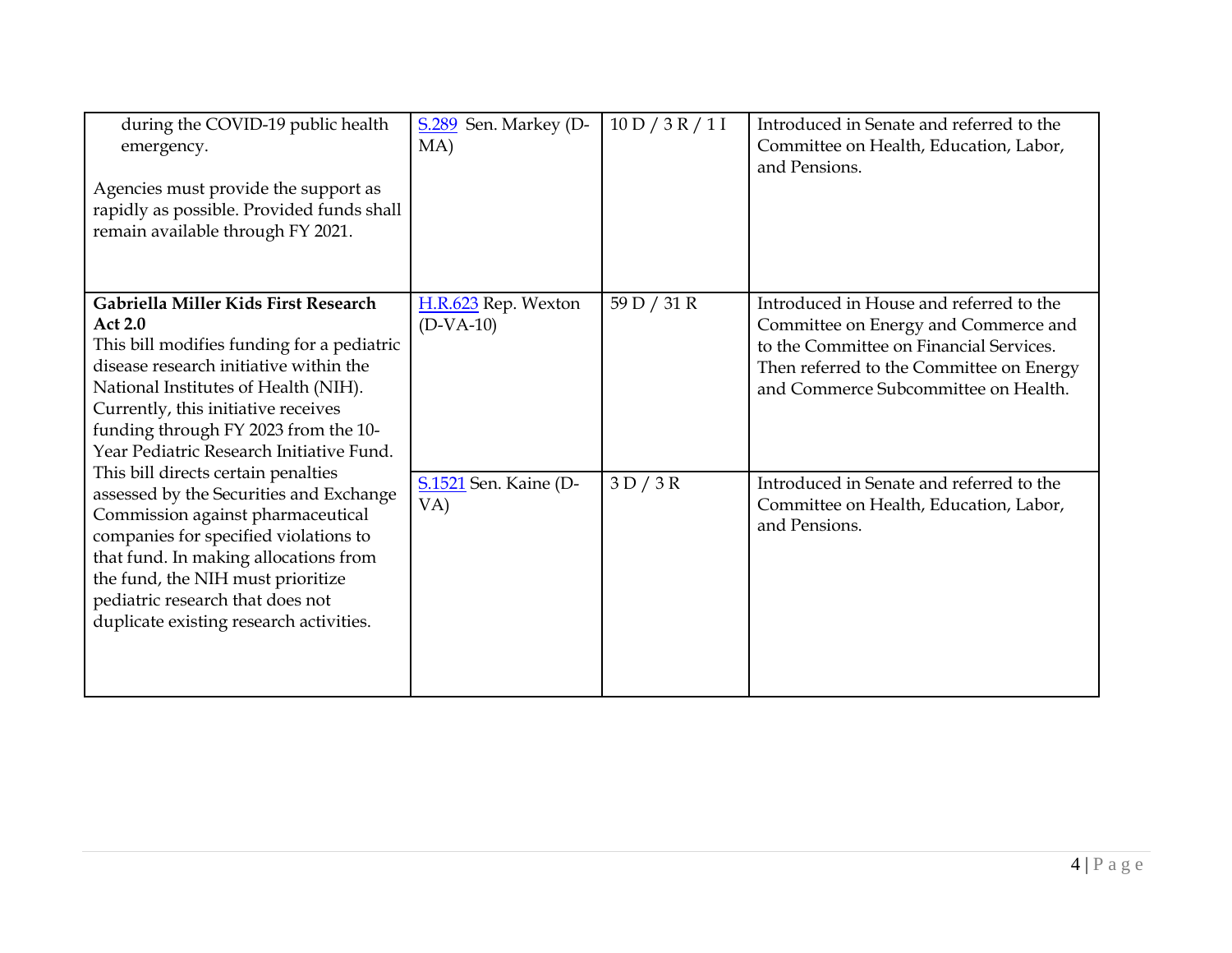| during the COVID-19 public health<br>emergency.<br>Agencies must provide the support as<br>rapidly as possible. Provided funds shall<br>remain available through FY 2021.                                                                                                                                                 | S.289 Sen. Markey (D-<br>MA)       | 10 D / 3 R / 1 I | Introduced in Senate and referred to the<br>Committee on Health, Education, Labor,<br>and Pensions.                                                                                                            |
|---------------------------------------------------------------------------------------------------------------------------------------------------------------------------------------------------------------------------------------------------------------------------------------------------------------------------|------------------------------------|------------------|----------------------------------------------------------------------------------------------------------------------------------------------------------------------------------------------------------------|
| Gabriella Miller Kids First Research<br><b>Act 2.0</b><br>This bill modifies funding for a pediatric<br>disease research initiative within the<br>National Institutes of Health (NIH).<br>Currently, this initiative receives<br>funding through FY 2023 from the 10-<br>Year Pediatric Research Initiative Fund.         | H.R.623 Rep. Wexton<br>$(D-VA-10)$ | 59 D / 31 R      | Introduced in House and referred to the<br>Committee on Energy and Commerce and<br>to the Committee on Financial Services.<br>Then referred to the Committee on Energy<br>and Commerce Subcommittee on Health. |
| This bill directs certain penalties<br>assessed by the Securities and Exchange<br>Commission against pharmaceutical<br>companies for specified violations to<br>that fund. In making allocations from<br>the fund, the NIH must prioritize<br>pediatric research that does not<br>duplicate existing research activities. | S.1521 Sen. Kaine (D-<br>VA)       | 3D/3R            | Introduced in Senate and referred to the<br>Committee on Health, Education, Labor,<br>and Pensions.                                                                                                            |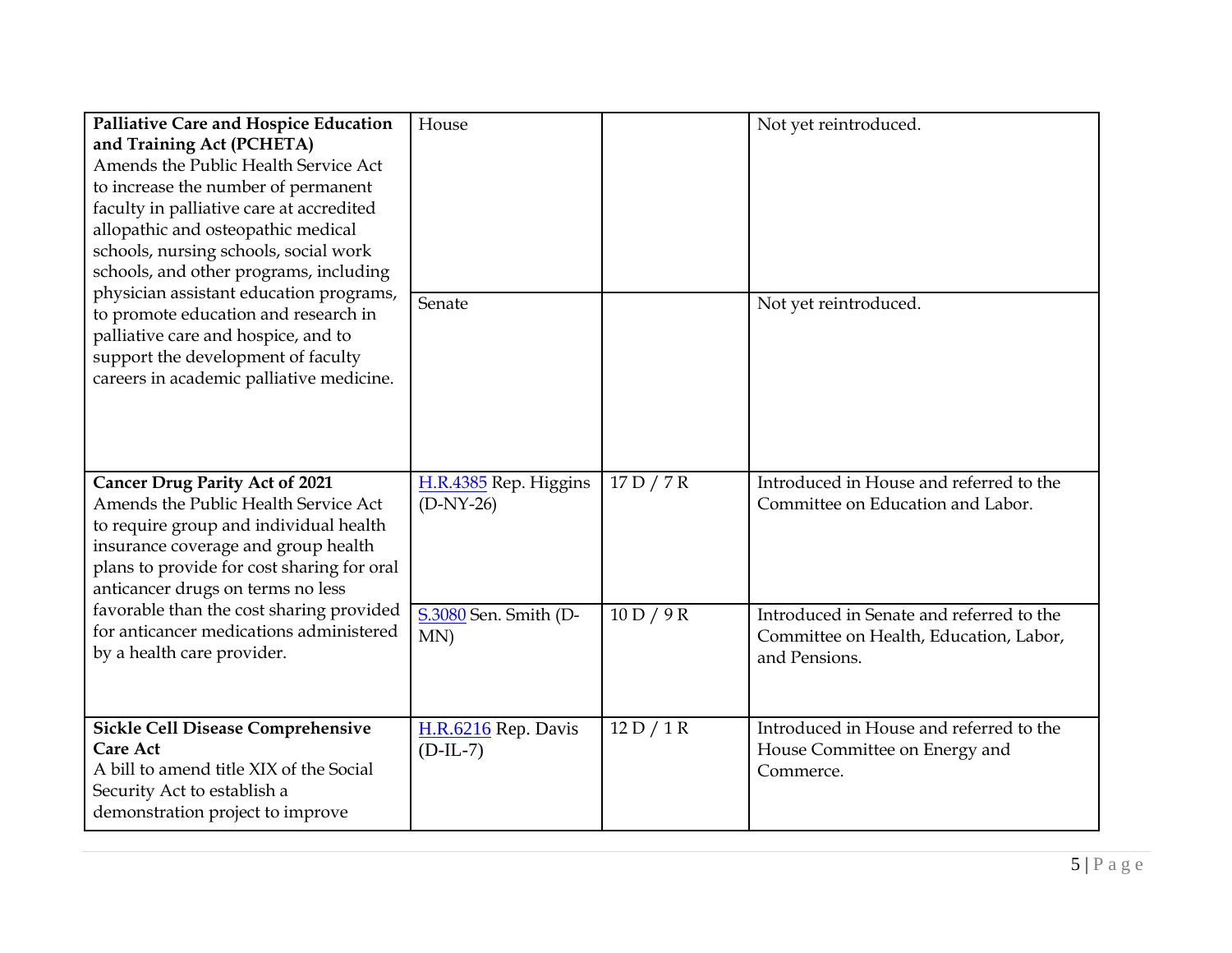| Palliative Care and Hospice Education<br>and Training Act (PCHETA)<br>Amends the Public Health Service Act<br>to increase the number of permanent<br>faculty in palliative care at accredited<br>allopathic and osteopathic medical<br>schools, nursing schools, social work<br>schools, and other programs, including | House                                |            | Not yet reintroduced.                                                                               |
|------------------------------------------------------------------------------------------------------------------------------------------------------------------------------------------------------------------------------------------------------------------------------------------------------------------------|--------------------------------------|------------|-----------------------------------------------------------------------------------------------------|
| physician assistant education programs,<br>to promote education and research in<br>palliative care and hospice, and to<br>support the development of faculty<br>careers in academic palliative medicine.                                                                                                               | Senate                               |            | Not yet reintroduced.                                                                               |
| <b>Cancer Drug Parity Act of 2021</b><br>Amends the Public Health Service Act<br>to require group and individual health<br>insurance coverage and group health<br>plans to provide for cost sharing for oral<br>anticancer drugs on terms no less                                                                      | H.R.4385 Rep. Higgins<br>$(D-NY-26)$ | 17 D / 7 R | Introduced in House and referred to the<br>Committee on Education and Labor.                        |
| favorable than the cost sharing provided<br>for anticancer medications administered<br>by a health care provider.                                                                                                                                                                                                      | S.3080 Sen. Smith (D-<br>MN)         | 10 D / 9 R | Introduced in Senate and referred to the<br>Committee on Health, Education, Labor,<br>and Pensions. |
| <b>Sickle Cell Disease Comprehensive</b><br><b>Care Act</b><br>A bill to amend title XIX of the Social<br>Security Act to establish a<br>demonstration project to improve                                                                                                                                              | H.R.6216 Rep. Davis<br>$(D-IL-7)$    | 12 D / 1 R | Introduced in House and referred to the<br>House Committee on Energy and<br>Commerce.               |